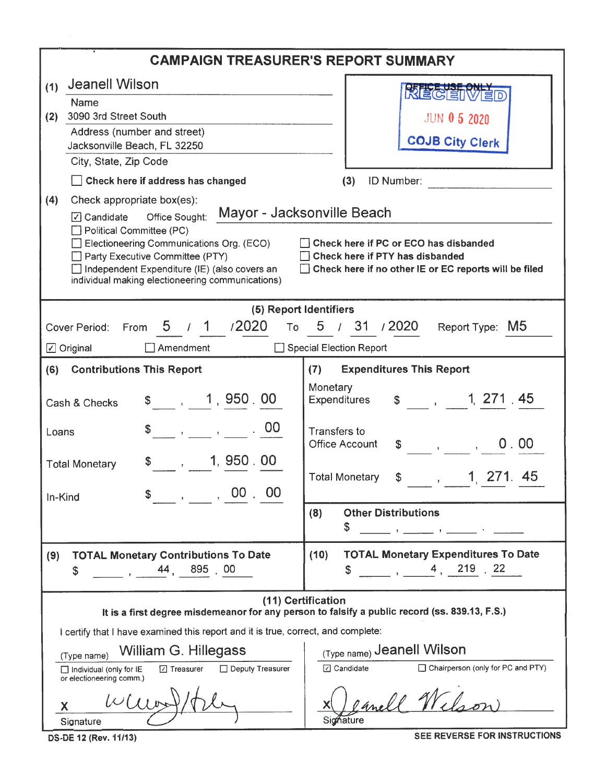| <b>CAMPAIGN TREASURER'S REPORT SUMMARY</b>                                                                          |                                                                                                                                                                                                                                                                                                                                                                                                              |                                                                                                                                                                           |  |  |  |  |  |  |
|---------------------------------------------------------------------------------------------------------------------|--------------------------------------------------------------------------------------------------------------------------------------------------------------------------------------------------------------------------------------------------------------------------------------------------------------------------------------------------------------------------------------------------------------|---------------------------------------------------------------------------------------------------------------------------------------------------------------------------|--|--|--|--|--|--|
| (1)                                                                                                                 | <b>Jeanell Wilson</b>                                                                                                                                                                                                                                                                                                                                                                                        | 文庫C首                                                                                                                                                                      |  |  |  |  |  |  |
| (2)                                                                                                                 | Name<br>3090 3rd Street South                                                                                                                                                                                                                                                                                                                                                                                | <b>JUN 0 5 2020</b>                                                                                                                                                       |  |  |  |  |  |  |
|                                                                                                                     | Address (number and street)                                                                                                                                                                                                                                                                                                                                                                                  |                                                                                                                                                                           |  |  |  |  |  |  |
|                                                                                                                     | Jacksonville Beach, FL 32250<br>City, State, Zip Code                                                                                                                                                                                                                                                                                                                                                        | <b>COJB City Clerk</b>                                                                                                                                                    |  |  |  |  |  |  |
|                                                                                                                     | Check here if address has changed                                                                                                                                                                                                                                                                                                                                                                            | (3)<br>ID Number:                                                                                                                                                         |  |  |  |  |  |  |
| (4)                                                                                                                 | Check appropriate box(es):                                                                                                                                                                                                                                                                                                                                                                                   |                                                                                                                                                                           |  |  |  |  |  |  |
|                                                                                                                     | Mayor - Jacksonville Beach<br>☑ Candidate Office Sought:<br>Political Committee (PC)<br>Electioneering Communications Org. (ECO)<br>Check here if PC or ECO has disbanded<br>Party Executive Committee (PTY)<br>Check here if PTY has disbanded<br>Independent Expenditure (IE) (also covers an<br>Check here if no other IE or EC reports will be filed<br>individual making electioneering communications) |                                                                                                                                                                           |  |  |  |  |  |  |
|                                                                                                                     | (5) Report Identifiers                                                                                                                                                                                                                                                                                                                                                                                       |                                                                                                                                                                           |  |  |  |  |  |  |
|                                                                                                                     | 5 / 1 / 2020<br><b>Cover Period:</b><br>From                                                                                                                                                                                                                                                                                                                                                                 | To 5 / 31 / 2020<br>Report Type: M5                                                                                                                                       |  |  |  |  |  |  |
|                                                                                                                     | $\boxed{\mathcal{L}}$ Original<br>Amendment                                                                                                                                                                                                                                                                                                                                                                  | Special Election Report                                                                                                                                                   |  |  |  |  |  |  |
| <b>Contributions This Report</b><br>(6)<br>(7)<br><b>Expenditures This Report</b>                                   |                                                                                                                                                                                                                                                                                                                                                                                                              |                                                                                                                                                                           |  |  |  |  |  |  |
|                                                                                                                     | \$ , 1, 950, 00<br>Cash & Checks                                                                                                                                                                                                                                                                                                                                                                             | Monetary<br>$\frac{1}{2}$ , 1, 271 45<br>Expenditures                                                                                                                     |  |  |  |  |  |  |
| 00<br><b>Transfers to</b><br>Loans<br><b>Office Account</b><br>$\frac{1}{2}$ , , , 0.00                             |                                                                                                                                                                                                                                                                                                                                                                                                              |                                                                                                                                                                           |  |  |  |  |  |  |
|                                                                                                                     | , 1, 950.00<br><b>Total Monetary</b>                                                                                                                                                                                                                                                                                                                                                                         | 1 271 45<br><b>Total Monetary</b><br>$\overline{\phantom{a}}$<br>\$                                                                                                       |  |  |  |  |  |  |
| In-Kind                                                                                                             | $\overline{\phantom{a}}$ , $\overline{\phantom{a}}$ , $\overline{\phantom{a}}$ , $\overline{\phantom{a}}$ , $\overline{\phantom{a}}$                                                                                                                                                                                                                                                                         | <b>Other Distributions</b><br>(8)                                                                                                                                         |  |  |  |  |  |  |
|                                                                                                                     |                                                                                                                                                                                                                                                                                                                                                                                                              | \$<br>$\mathbf{y} = \mathbf{y}$                                                                                                                                           |  |  |  |  |  |  |
| (9)                                                                                                                 | <b>TOTAL Monetary Contributions To Date</b><br>44, 895, 00<br>\$                                                                                                                                                                                                                                                                                                                                             | <b>TOTAL Monetary Expenditures To Date</b><br>(10)<br>$\begin{array}{cccc} \begin{array}{cccccccccc} \bullet & \bullet & \bullet & \bullet \end{array} \end{array}$<br>\$ |  |  |  |  |  |  |
| (11) Certification<br>It is a first degree misdemeanor for any person to falsify a public record (ss. 839.13, F.S.) |                                                                                                                                                                                                                                                                                                                                                                                                              |                                                                                                                                                                           |  |  |  |  |  |  |
| I certify that I have examined this report and it is true, correct, and complete:                                   |                                                                                                                                                                                                                                                                                                                                                                                                              |                                                                                                                                                                           |  |  |  |  |  |  |
|                                                                                                                     | William G. Hillegass<br>(Type name)<br>□ Deputy Treasurer<br>□ Treasurer<br>Individual (only for IE<br>or electioneering comm.)                                                                                                                                                                                                                                                                              | <sub>(Type name)</sub> Jeanell Wilson<br>□ Candidate<br>$\Box$ Chairperson (only for PC and PTY)                                                                          |  |  |  |  |  |  |
|                                                                                                                     | Х<br>Signature                                                                                                                                                                                                                                                                                                                                                                                               | anell Wil.<br>Signature                                                                                                                                                   |  |  |  |  |  |  |

DS-DE 12 (Rev. 11/13) SEE REVERSE FOR INSTRUCTIONS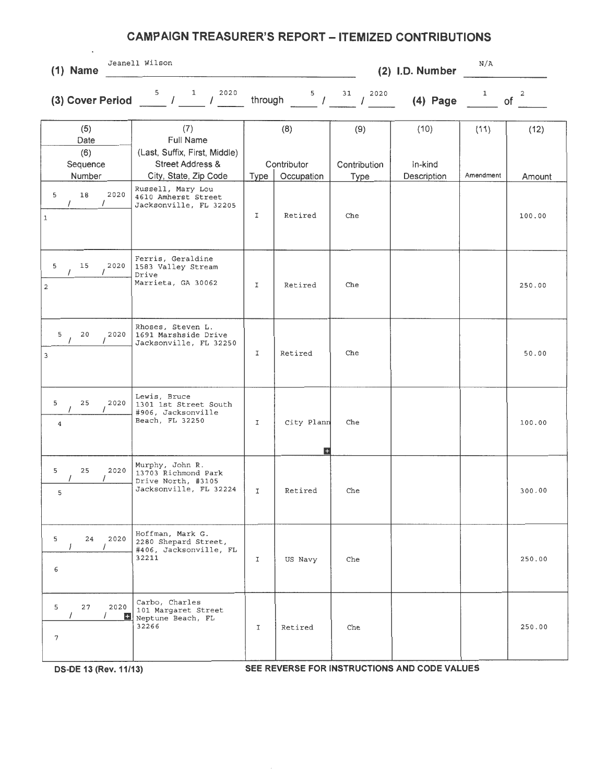## **CAMPAIGN TREASURER'S REPORT - ITEMIZED CONTRIBUTIONS**

| (3) Cover Period $\frac{5}{3}$ / $\frac{1}{1}$ $\frac{2020}{1}$<br>2020<br>$\begin{array}{cc} 5 & 31 \end{array}$<br>2020<br>$\overline{a}$<br>$\mathbf{1}$<br>through<br>$\prime$<br>$(4)$ Page<br>оf<br>(8)<br>(9)<br>(12)<br>(5)<br>(7)<br>(10)<br>(11)<br>Full Name<br>Date<br>(6)<br>(Last, Suffix, First, Middle)<br>Contributor<br><b>Street Address &amp;</b><br>Contribution<br>In-kind<br>Sequence<br>Amendment<br>Number<br>City, State, Zip Code<br>Occupation<br>Description<br>Type<br><b>Type</b><br>Amount<br>Russell, Mary Lou<br>5<br>18<br>2020<br>4610 Amherst Street<br>$\prime$<br>Jacksonville, FL 32205<br>I<br>Retired<br>Che<br>100.00<br>$\mathbf 1$<br>Ferris, Geraldine<br>5<br>2020<br>15<br>1583 Valley Stream<br>Drive<br>Marrieta, GA 30062<br>I<br>Retired<br>Che<br>250.00<br>2<br>Rhoses, Steven L.<br>5<br>20<br>2020<br>1691 Marshside Drive<br>Jacksonville, FL 32250<br>50.00<br>I<br>Retired<br>Che<br>$\overline{3}$<br>Lewis, Bruce<br>25<br>5<br>2020<br>1301 1st Street South<br>#906, Jacksonville<br>Beach, FL 32250<br>I<br>100.00<br>City Plann<br>Che<br>$\overline{4}$<br>$\pm$<br>Murphy, John R.<br>2020<br>5<br>25<br>13703 Richmond Park<br>Drive North, #3105<br>Jacksonville, FL 32224<br>300.00<br>Retired<br>I<br>Che<br>5<br>Hoffman, Mark G.<br>2020<br>24<br>5<br>2280 Shepard Street,<br>$\prime$<br>#406, Jacksonville, FL<br>32211<br>250.00<br>Che<br>I<br>US Navy<br>6<br>Carbo, Charles<br>27<br>2020<br>5<br>101 Margaret Street<br>Neptune Beach, FL<br>32266<br>250.00<br>Retired<br>Che<br>$\mathbf{I}$<br>7 | $(1)$ Name | Jeanell Wilson |  | (2) I.D. Number | N/A |  |
|--------------------------------------------------------------------------------------------------------------------------------------------------------------------------------------------------------------------------------------------------------------------------------------------------------------------------------------------------------------------------------------------------------------------------------------------------------------------------------------------------------------------------------------------------------------------------------------------------------------------------------------------------------------------------------------------------------------------------------------------------------------------------------------------------------------------------------------------------------------------------------------------------------------------------------------------------------------------------------------------------------------------------------------------------------------------------------------------------------------------------------------------------------------------------------------------------------------------------------------------------------------------------------------------------------------------------------------------------------------------------------------------------------------------------------------------------------------------------------------------------------------------------------------------------------------------------------------|------------|----------------|--|-----------------|-----|--|
|                                                                                                                                                                                                                                                                                                                                                                                                                                                                                                                                                                                                                                                                                                                                                                                                                                                                                                                                                                                                                                                                                                                                                                                                                                                                                                                                                                                                                                                                                                                                                                                      |            |                |  |                 |     |  |
|                                                                                                                                                                                                                                                                                                                                                                                                                                                                                                                                                                                                                                                                                                                                                                                                                                                                                                                                                                                                                                                                                                                                                                                                                                                                                                                                                                                                                                                                                                                                                                                      |            |                |  |                 |     |  |
|                                                                                                                                                                                                                                                                                                                                                                                                                                                                                                                                                                                                                                                                                                                                                                                                                                                                                                                                                                                                                                                                                                                                                                                                                                                                                                                                                                                                                                                                                                                                                                                      |            |                |  |                 |     |  |
|                                                                                                                                                                                                                                                                                                                                                                                                                                                                                                                                                                                                                                                                                                                                                                                                                                                                                                                                                                                                                                                                                                                                                                                                                                                                                                                                                                                                                                                                                                                                                                                      |            |                |  |                 |     |  |
|                                                                                                                                                                                                                                                                                                                                                                                                                                                                                                                                                                                                                                                                                                                                                                                                                                                                                                                                                                                                                                                                                                                                                                                                                                                                                                                                                                                                                                                                                                                                                                                      |            |                |  |                 |     |  |
|                                                                                                                                                                                                                                                                                                                                                                                                                                                                                                                                                                                                                                                                                                                                                                                                                                                                                                                                                                                                                                                                                                                                                                                                                                                                                                                                                                                                                                                                                                                                                                                      |            |                |  |                 |     |  |
|                                                                                                                                                                                                                                                                                                                                                                                                                                                                                                                                                                                                                                                                                                                                                                                                                                                                                                                                                                                                                                                                                                                                                                                                                                                                                                                                                                                                                                                                                                                                                                                      |            |                |  |                 |     |  |
|                                                                                                                                                                                                                                                                                                                                                                                                                                                                                                                                                                                                                                                                                                                                                                                                                                                                                                                                                                                                                                                                                                                                                                                                                                                                                                                                                                                                                                                                                                                                                                                      |            |                |  |                 |     |  |
|                                                                                                                                                                                                                                                                                                                                                                                                                                                                                                                                                                                                                                                                                                                                                                                                                                                                                                                                                                                                                                                                                                                                                                                                                                                                                                                                                                                                                                                                                                                                                                                      |            |                |  |                 |     |  |

**DS-DE 13 (Rev.11/13) SEE REVERSE FOR INSTRUCTIONS AND CODE VALUES**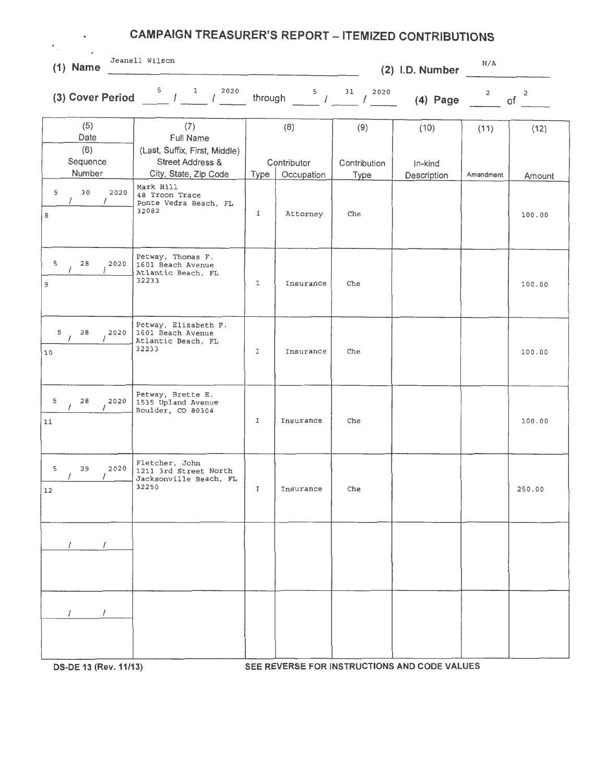## **CAMPAIGN TREASURER'S REPORT - ITEMIZED CONTRIBUTIONS**

**(1) Name**  Jeanell Wilson

 $\mathcal{L}_{\mathcal{A}}$ 

**(2) l.D. Number**   $N/A$ 

|                                                  | (3) Cover Period $\frac{5}{7}$ $\frac{1}{7}$ $\frac{2020}{7}$              |                       | through $\frac{5}{7}$ / $\frac{31}{7}$ / $\frac{21}{7}$ | 2020         | $(4)$ Page $\qquad 2$ | 2         | $\overline{a}$<br>of |
|--------------------------------------------------|----------------------------------------------------------------------------|-----------------------|---------------------------------------------------------|--------------|-----------------------|-----------|----------------------|
| (5)<br>Date<br>(6)                               | (7)<br>Full Name<br>(Last, Suffix, First, Middle)                          |                       | (8)                                                     | (9)          | (10)                  | (11)      | (12)                 |
| Sequence<br>Number                               | <b>Street Address &amp;</b><br>City, State, Zip Code                       |                       | Contributor                                             | Contribution | In-kind               | Amendment |                      |
| 5<br>30<br>2020<br>$\prime$<br>$\prime$<br>8     | Mark Hill<br>48 Troon Trace<br>Ponte Vedra Beach, FL<br>32082              | Type<br>$\mathfrak I$ | Occupation<br>Attorney                                  | Type<br>Che  | Description           |           | Amount<br>100.00     |
| 5<br>28<br>2020<br>$\prime$<br>9                 | Petway, Thomas F.<br>1601 Beach Avenue<br>Atlantic Beach, FL<br>32233      | I                     | Insurance                                               | Che          |                       |           | 100.00               |
| 5 <sub>5</sub><br>28<br>2020<br>$\sqrt{ }$<br>10 | Petway, Elizabeth P.<br>1601 Beach Avenue<br>Atlantic Beach, FL<br>32233   | I                     | Insurance                                               | Che          |                       |           | 100.00               |
| 5<br>28<br>2020<br>$\prime$<br>11                | Petway, Brette E.<br>1535 Upland Avenue<br>Boulder, CO 80304               | I                     | Insurance                                               | Che          |                       |           | 100.00               |
| 5<br>29<br>2020<br>$\prime$<br>12                | Fletcher, John<br>1211 3rd Street North<br>Jacksonville Beach, FL<br>32250 | $\mathbbm{I}$         | Insurance                                               | Che          |                       |           | 250.00               |
|                                                  |                                                                            |                       |                                                         |              |                       |           |                      |
|                                                  |                                                                            |                       |                                                         |              |                       |           |                      |

**DS-DE 13 (Rev. 11/13)** SEE REVERSE FOR INSTRUCTIONS AND CODE VALUES